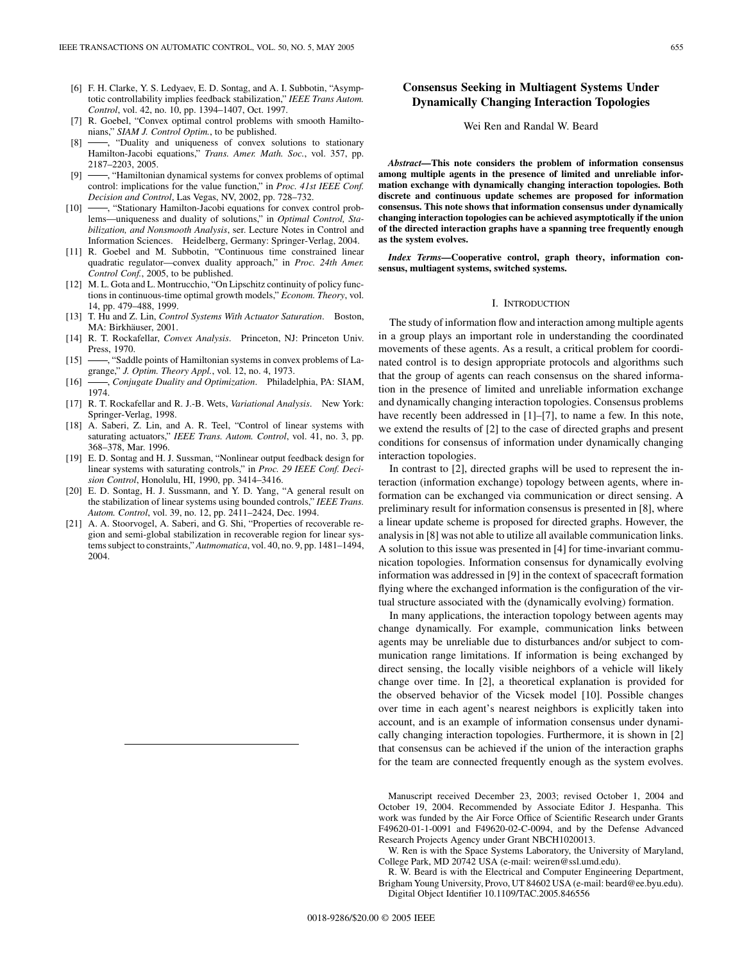- [6] F. H. Clarke, Y. S. Ledyaev, E. D. Sontag, and A. I. Subbotin, "Asymptotic controllability implies feedback stabilization," *IEEE Trans Autom. Control*, vol. 42, no. 10, pp. 1394–1407, Oct. 1997.
- [7] R. Goebel, "Convex optimal control problems with smooth Hamiltonians," *SIAM J. Control Optim.*, to be published.
- [8] -, "Duality and uniqueness of convex solutions to stationary Hamilton-Jacobi equations," *Trans. Amer. Math. Soc.*, vol. 357, pp. 2187–2203, 2005.
- [9]  $\rightarrow$  "Hamiltonian dynamical systems for convex problems of optimal control: implications for the value function," in *Proc. 41st IEEE Conf. Decision and Control*, Las Vegas, NV, 2002, pp. 728–732.
- [10] -, "Stationary Hamilton-Jacobi equations for convex control problems—uniqueness and duality of solutions," in *Optimal Control, Stabilization, and Nonsmooth Analysis*, ser. Lecture Notes in Control and Information Sciences. Heidelberg, Germany: Springer-Verlag, 2004.
- [11] R. Goebel and M. Subbotin, "Continuous time constrained linear quadratic regulator—convex duality approach," in *Proc. 24th Amer. Control Conf.*, 2005, to be published.
- [12] M. L. Gota and L. Montrucchio, "On Lipschitz continuity of policy functions in continuous-time optimal growth models," *Econom. Theory*, vol. 14, pp. 479–488, 1999.
- [13] T. Hu and Z. Lin, *Control Systems With Actuator Saturation*. Boston, MA: Birkhäuser, 2001.
- [14] R. T. Rockafellar, *Convex Analysis*. Princeton, NJ: Princeton Univ. Press, 1970.
- [15]  $\longrightarrow$ , "Saddle points of Hamiltonian systems in convex problems of Lagrange," *J. Optim. Theory Appl.*, vol. 12, no. 4, 1973.
- [16] , *Conjugate Duality and Optimization*. Philadelphia, PA: SIAM, 1974.
- [17] R. T. Rockafellar and R. J.-B. Wets, *Variational Analysis*. New York: Springer-Verlag, 1998.
- [18] A. Saberi, Z. Lin, and A. R. Teel, "Control of linear systems with saturating actuators," *IEEE Trans. Autom. Control*, vol. 41, no. 3, pp. 368–378, Mar. 1996.
- [19] E. D. Sontag and H. J. Sussman, "Nonlinear output feedback design for linear systems with saturating controls," in *Proc. 29 IEEE Conf. Decision Control*, Honolulu, HI, 1990, pp. 3414–3416.
- [20] E. D. Sontag, H. J. Sussmann, and Y. D. Yang, "A general result on the stabilization of linear systems using bounded controls," *IEEE Trans. Autom. Control*, vol. 39, no. 12, pp. 2411–2424, Dec. 1994.
- [21] A. A. Stoorvogel, A. Saberi, and G. Shi, "Properties of recoverable region and semi-global stabilization in recoverable region for linear systems subject to constraints," *Autmomatica*, vol. 40, no. 9, pp. 1481–1494, 2004.

# **Consensus Seeking in Multiagent Systems Under Dynamically Changing Interaction Topologies**

#### Wei Ren and Randal W. Beard

*Abstract—***This note considers the problem of information consensus among multiple agents in the presence of limited and unreliable information exchange with dynamically changing interaction topologies. Both discrete and continuous update schemes are proposed for information consensus. This note shows that information consensus under dynamically changing interaction topologies can be achieved asymptotically if the union of the directed interaction graphs have a spanning tree frequently enough as the system evolves.**

*Index Terms—***Cooperative control, graph theory, information consensus, multiagent systems, switched systems.**

#### I. INTRODUCTION

The study of information flow and interaction among multiple agents in a group plays an important role in understanding the coordinated movements of these agents. As a result, a critical problem for coordinated control is to design appropriate protocols and algorithms such that the group of agents can reach consensus on the shared information in the presence of limited and unreliable information exchange and dynamically changing interaction topologies. Consensus problems have recently been addressed in [1]–[7], to name a few. In this note, we extend the results of [2] to the case of directed graphs and present conditions for consensus of information under dynamically changing interaction topologies.

In contrast to [2], directed graphs will be used to represent the interaction (information exchange) topology between agents, where information can be exchanged via communication or direct sensing. A preliminary result for information consensus is presented in [8], where a linear update scheme is proposed for directed graphs. However, the analysis in [8] was not able to utilize all available communication links. A solution to this issue was presented in [4] for time-invariant communication topologies. Information consensus for dynamically evolving information was addressed in [9] in the context of spacecraft formation flying where the exchanged information is the configuration of the virtual structure associated with the (dynamically evolving) formation.

In many applications, the interaction topology between agents may change dynamically. For example, communication links between agents may be unreliable due to disturbances and/or subject to communication range limitations. If information is being exchanged by direct sensing, the locally visible neighbors of a vehicle will likely change over time. In [2], a theoretical explanation is provided for the observed behavior of the Vicsek model [10]. Possible changes over time in each agent's nearest neighbors is explicitly taken into account, and is an example of information consensus under dynamically changing interaction topologies. Furthermore, it is shown in [2] that consensus can be achieved if the union of the interaction graphs for the team are connected frequently enough as the system evolves.

Manuscript received December 23, 2003; revised October 1, 2004 and October 19, 2004. Recommended by Associate Editor J. Hespanha. This work was funded by the Air Force Office of Scientific Research under Grants F49620-01-1-0091 and F49620-02-C-0094, and by the Defense Advanced Research Projects Agency under Grant NBCH1020013.

W. Ren is with the Space Systems Laboratory, the University of Maryland, College Park, MD 20742 USA (e-mail: weiren@ssl.umd.edu).

R. W. Beard is with the Electrical and Computer Engineering Department, Brigham Young University, Provo, UT 84602 USA (e-mail: beard@ee.byu.edu). Digital Object Identifier 10.1109/TAC.2005.846556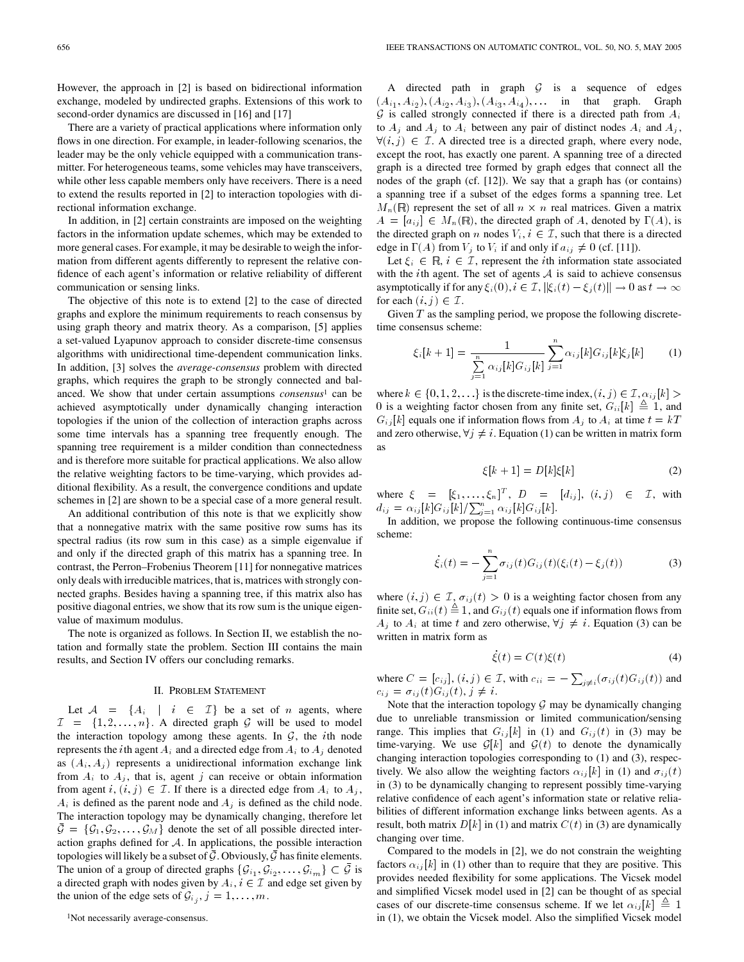However, the approach in [2] is based on bidirectional information exchange, modeled by undirected graphs. Extensions of this work to second-order dynamics are discussed in [16] and [17]

There are a variety of practical applications where information only flows in one direction. For example, in leader-following scenarios, the leader may be the only vehicle equipped with a communication transmitter. For heterogeneous teams, some vehicles may have transceivers, while other less capable members only have receivers. There is a need to extend the results reported in [2] to interaction topologies with directional information exchange.

In addition, in [2] certain constraints are imposed on the weighting factors in the information update schemes, which may be extended to more general cases. For example, it may be desirable to weigh the information from different agents differently to represent the relative confidence of each agent's information or relative reliability of different communication or sensing links.

The objective of this note is to extend [2] to the case of directed graphs and explore the minimum requirements to reach consensus by using graph theory and matrix theory. As a comparison, [5] applies a set-valued Lyapunov approach to consider discrete-time consensus algorithms with unidirectional time-dependent communication links. In addition, [3] solves the *average-consensus* problem with directed graphs, which requires the graph to be strongly connected and balanced. We show that under certain assumptions *consensus*<sup>1</sup> can be achieved asymptotically under dynamically changing interaction topologies if the union of the collection of interaction graphs across some time intervals has a spanning tree frequently enough. The spanning tree requirement is a milder condition than connectedness and is therefore more suitable for practical applications. We also allow the relative weighting factors to be time-varying, which provides additional flexibility. As a result, the convergence conditions and update schemes in [2] are shown to be a special case of a more general result.

An additional contribution of this note is that we explicitly show that a nonnegative matrix with the same positive row sums has its spectral radius (its row sum in this case) as a simple eigenvalue if and only if the directed graph of this matrix has a spanning tree. In contrast, the Perron–Frobenius Theorem [11] for nonnegative matrices only deals with irreducible matrices, that is, matrices with strongly connected graphs. Besides having a spanning tree, if this matrix also has positive diagonal entries, we show that its row sum is the unique eigenvalue of maximum modulus.

The note is organized as follows. In Section II, we establish the notation and formally state the problem. Section III contains the main results, and Section IV offers our concluding remarks.

### II. PROBLEM STATEMENT

Let  $A = \{A_i \mid i \in \mathcal{I}\}$  be a set of n agents, where  $\mathcal{I} = \{1, 2, \ldots, n\}$ . A directed graph  $\mathcal{G}$  will be used to model the interaction topology among these agents. In  $G$ , the *i*th node represents the *i*th agent  $A_i$  and a directed edge from  $A_i$  to  $A_j$  denoted as  $(A_i, A_j)$  represents a unidirectional information exchange link from  $A_i$  to  $A_j$ , that is, agent j can receive or obtain information from agent i,  $(i, j) \in \mathcal{I}$ . If there is a directed edge from  $A_i$  to  $A_j$ ,  $A_i$  is defined as the parent node and  $A_j$  is defined as the child node. The interaction topology may be dynamically changing, therefore let  $\bar{\mathcal{G}} = {\mathcal{G}_1, \mathcal{G}_2, \ldots, \mathcal{G}_M}$  denote the set of all possible directed interaction graphs defined for  $A$ . In applications, the possible interaction topologies will likely be a subset of  $\overline{G}$ . Obviously,  $\overline{G}$  has finite elements. The union of a group of directed graphs  $\{\mathcal{G}_{i_1}, \mathcal{G}_{i_2}, \ldots, \mathcal{G}_{i_m}\}\subset \bar{\mathcal{G}}$  is a directed graph with nodes given by  $A_i$ ,  $i \in \mathcal{I}$  and edge set given by the union of the edge sets of  $\mathcal{G}_{i_j}, j = 1, \ldots, m$ .

A directed path in graph  $G$  is a sequence of edges  $(A_{i_1}, A_{i_2}), (A_{i_2}, A_{i_3}), (A_{i_3}, A_{i_4}), \ldots$  in that graph. Graph  $G$  is called strongly connected if there is a directed path from  $A_i$ to  $A_i$  and  $A_i$  to  $A_i$  between any pair of distinct nodes  $A_i$  and  $A_i$ ,  $\forall (i, j) \in \mathcal{I}$ . A directed tree is a directed graph, where every node, except the root, has exactly one parent. A spanning tree of a directed graph is a directed tree formed by graph edges that connect all the nodes of the graph (cf. [12]). We say that a graph has (or contains) a spanning tree if a subset of the edges forms a spanning tree. Let  $M_n(\mathbb{R})$  represent the set of all  $n \times n$  real matrices. Given a matrix  $A = [a_{ij}] \in M_n(\mathbb{R})$ , the directed graph of A, denoted by  $\Gamma(A)$ , is the directed graph on n nodes  $V_i$ ,  $i \in \mathcal{I}$ , such that there is a directed edge in  $\Gamma(A)$  from  $V_j$  to  $V_i$  if and only if  $a_{ij} \neq 0$  (cf. [11]).

Let  $\xi_i \in \mathbb{R}$ ,  $i \in \mathcal{I}$ , represent the *i*th information state associated with the *i*th agent. The set of agents  $A$  is said to achieve consensus asymptotically if for any  $\xi_i(0)$ ,  $i \in \mathcal{I}$ ,  $\|\xi_i(t) - \xi_j(t)\| \to 0$  as  $t \to \infty$ for each  $(i, j) \in \mathcal{I}$ .

Given  $T$  as the sampling period, we propose the following discretetime consensus scheme:

$$
\xi_i[k+1] = \frac{1}{\sum_{j=1}^n \alpha_{ij}[k]G_{ij}[k]} \sum_{j=1}^n \alpha_{ij}[k]G_{ij}[k]\xi_j[k] \tag{1}
$$

where  $k \in \{0, 1, 2, \ldots\}$  is the discrete-time index,  $(i, j) \in \mathcal{I}, \alpha_{ij} |k| >$ 0 is a weighting factor chosen from any finite set,  $G_{ii}[k] \triangleq 1$ , and  $G_{ij}[k]$  equals one if information flows from  $A_j$  to  $A_i$  at time  $t = kT$ and zero otherwise,  $\forall j \neq i$ . Equation (1) can be written in matrix form as

$$
\xi[k+1] = D[k]\xi[k] \tag{2}
$$

where  $\xi = [\xi_1, \ldots, \xi_n]^T$ ,  $D = [d_{ij}], (i, j) \in \mathcal{I}$ , with  $d_{ij} = \alpha_{ij} [k] G_{ij} [k] / \sum_{j=1}^{n} \alpha_{ij} [k] G_{ij} [k].$ 

In addition, we propose the following continuous-time consensus scheme:

$$
\dot{\xi}_i(t) = -\sum_{j=1}^n \sigma_{ij}(t) G_{ij}(t) (\xi_i(t) - \xi_j(t))
$$
\n(3)

where  $(i, j) \in \mathcal{I}$ ,  $\sigma_{ij} (t) > 0$  is a weighting factor chosen from any finite set,  $G_{ii}(t) \triangleq 1$ , and  $G_{ij}(t)$  equals one if information flows from  $A_i$  to  $A_i$  at time t and zero otherwise,  $\forall j \neq i$ . Equation (3) can be written in matrix form as

$$
\dot{\xi}(t) = C(t)\xi(t) \tag{4}
$$

where  $C = [c_{ij}], (i, j) \in \mathcal{I}$ , with  $c_{ii} = -\sum_{i \neq i}(\sigma_{ij}(t)G_{ij}(t))$  and  $c_{ij} = \sigma_{ij} (t) G_{ij} (t), j \neq i.$ 

Note that the interaction topology  $G$  may be dynamically changing due to unreliable transmission or limited communication/sensing range. This implies that  $G_{ij}[k]$  in (1) and  $G_{ij}(t)$  in (3) may be time-varying. We use  $\mathcal{G}[k]$  and  $\mathcal{G}(t)$  to denote the dynamically changing interaction topologies corresponding to (1) and (3), respectively. We also allow the weighting factors  $\alpha_{ij} [k]$  in (1) and  $\sigma_{ij} (t)$ in (3) to be dynamically changing to represent possibly time-varying relative confidence of each agent's information state or relative reliabilities of different information exchange links between agents. As a result, both matrix  $D[k]$  in (1) and matrix  $C(t)$  in (3) are dynamically changing over time.

Compared to the models in [2], we do not constrain the weighting factors  $\alpha_{ij} [k]$  in (1) other than to require that they are positive. This provides needed flexibility for some applications. The Vicsek model and simplified Vicsek model used in [2] can be thought of as special cases of our discrete-time consensus scheme. If we let  $\alpha_{ij} |k| \triangleq 1$ in (1), we obtain the Vicsek model. Also the simplified Vicsek model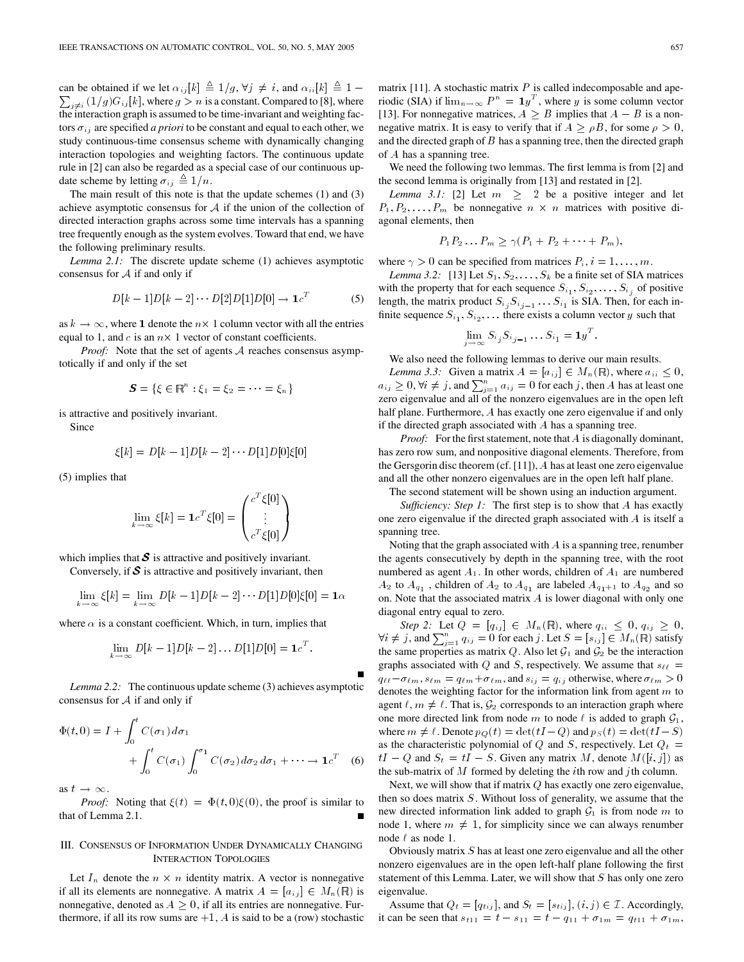can be obtained if we let  $\alpha_{ij}[k] \triangleq 1/g$ ,  $\forall j \neq i$ , and  $\alpha_{ii}[k] \triangleq 1$  $\sum_{i \neq j} (1/g)G_{ij}[k]$ , where  $g > n$  is a constant. Compared to [8], where the interaction graph is assumed to be time-invariant and weighting factors  $\sigma_{ij}$  are specified *a priori* to be constant and equal to each other, we study continuous-time consensus scheme with dynamically changing interaction topologies and weighting factors. The continuous update rule in [2] can also be regarded as a special case of our continuous update scheme by letting  $\sigma_{ij} \triangleq 1/n$ .

The main result of this note is that the update schemes (1) and (3) achieve asymptotic consensus for  $A$  if the union of the collection of directed interaction graphs across some time intervals has a spanning tree frequently enough as the system evolves. Toward that end, we have the following preliminary results.

*Lemma 2.1:* The discrete update scheme (1) achieves asymptotic consensus for  $A$  if and only if

$$
D[k-1]D[k-2]\cdots D[2]D[1]D[0] \to 1c^{T}
$$
 (5)

as  $k \to \infty$ , where 1 denote the  $n \times 1$  column vector with all the entries equal to 1, and c is an  $n \times 1$  vector of constant coefficients.

*Proof:* Note that the set of agents A reaches consensus asymptotically if and only if the set

$$
\mathbf{S} = \{ \xi \in \mathbb{R}^n : \xi_1 = \xi_2 = \cdots = \xi_n \}
$$

is attractive and positively invariant.

Since

$$
\xi[k] = D[k-1]D[k-2] \cdots D[1]D[0]\xi[0]
$$

(5) implies that

$$
\lim_{k \to \infty} \xi[k] = \mathbf{1}c^T \xi[0] = \begin{pmatrix} c^T \xi[0] \\ \vdots \\ c^T \xi[0] \end{pmatrix}
$$

which implies that  $S$  is attractive and positively invariant.

Conversely, if  $S$  is attractive and positively invariant, then

$$
\lim_{k \to \infty} \xi[k] = \lim_{k \to \infty} D[k-1]D[k-2] \cdots D[1]D[0]\xi[0] = \mathbf{1}_{\alpha}
$$

where  $\alpha$  is a constant coefficient. Which, in turn, implies that

$$
\lim_{k\to\infty} D[k-1]D[k-2]\dots D[1]D[0] = \mathbf{1}c^T.
$$

*Lemma 2.2:* The continuous update scheme (3) achieves asymptotic consensus for  $A$  if and only if

$$
\Phi(t,0) = I + \int_0^t C(\sigma_1) d\sigma_1
$$
  
+ 
$$
\int_0^t C(\sigma_1) \int_0^{\sigma_1} C(\sigma_2) d\sigma_2 d\sigma_1 + \cdots \to 1_c^T
$$
 (6)

as  $t \to \infty$ .

*Proof:* Noting that  $\xi(t) = \Phi(t, 0)\xi(0)$ , the proof is similar to that of Lemma 2.1.

## III. CONSENSUS OF INFORMATION UNDER DYNAMICALLY CHANGING INTERACTION TOPOLOGIES

Let  $I_n$  denote the  $n \times n$  identity matrix. A vector is nonnegative if all its elements are nonnegative. A matrix  $A = [a_{ij}] \in M_n(\mathbb{R})$  is nonnegative, denoted as  $A \geq 0$ , if all its entries are nonnegative. Furthermore, if all its row sums are  $+1$ , A is said to be a (row) stochastic matrix [11]. A stochastic matrix  $P$  is called indecomposable and aperiodic (SIA) if  $\lim_{n \to \infty} P^n = \mathbf{1}y^T$ , where y is some column vector [13]. For nonnegative matrices,  $A \geq B$  implies that  $A - B$  is a nonnegative matrix. It is easy to verify that if  $A \geq \rho B$ , for some  $\rho > 0$ , and the directed graph of  $B$  has a spanning tree, then the directed graph of A has a spanning tree.

We need the following two lemmas. The first lemma is from [2] and the second lemma is originally from [13] and restated in [2].

*Lemma 3.1:* [2] Let  $m \geq 2$  be a positive integer and let  $P_1, P_2, \ldots, P_m$  be nonnegative  $n \times n$  matrices with positive diagonal elements, then

$$
P_1 P_2 \ldots P_m \geq \gamma (P_1 + P_2 + \cdots + P_m),
$$

where  $\gamma > 0$  can be specified from matrices  $P_i$ ,  $i = 1, \ldots, m$ .

*Lemma 3.2:* [13] Let  $S_1, S_2, \ldots, S_k$  be a finite set of SIA matrices with the property that for each sequence  $S_{i_1}, S_{i_2}, \ldots, S_{i_j}$  of positive length, the matrix product  $S_{i_j} S_{i_{j-1}} \ldots S_{i_1}$  is SIA. Then, for each infinite sequence  $S_{i_1}, S_{i_2}, \ldots$  there exists a column vector y such that

$$
\lim_{j\to\infty} S_{i_j} S_{i_{j-1}} \dots S_{i_1} = \mathbf{1} y^T.
$$

We also need the following lemmas to derive our main results.

*Lemma 3.3:* Given a matrix  $A = [a_{ij}] \in M_n(\mathbb{R})$ , where  $a_{ii} \leq 0$ ,  $a_{ij} \geq 0$ ,  $\forall i \neq j$ , and  $\sum_{j=1}^{n} a_{ij} = 0$  for each j, then A has at least one zero eigenvalue and all of the nonzero eigenvalues are in the open left half plane. Furthermore, A has exactly one zero eigenvalue if and only if the directed graph associated with  $A$  has a spanning tree.

*Proof:* For the first statement, note that A is diagonally dominant, has zero row sum, and nonpositive diagonal elements. Therefore, from the Gersgorin disc theorem (cf. [11]), A has at least one zero eigenvalue and all the other nonzero eigenvalues are in the open left half plane.

The second statement will be shown using an induction argument.

*Sufficiency: Step 1:* The first step is to show that A has exactly one zero eigenvalue if the directed graph associated with A is itself a spanning tree.

Noting that the graph associated with A is a spanning tree, renumber the agents consecutively by depth in the spanning tree, with the root numbered as agent  $A_1$ . In other words, children of  $A_1$  are numbered  $A_2$  to  $A_{q_1}$ , children of  $A_2$  to  $A_{q_1}$  are labeled  $A_{q_1+1}$  to  $A_{q_2}$  and so on. Note that the associated matrix A is lower diagonal with only one diagonal entry equal to zero.

*Step 2:* Let  $Q = [q_{ij}] \in M_n(\mathbb{R})$ , where  $q_{ii} \leq 0$ ,  $q_{ij} \geq 0$ ,  $\forall i \neq j$ , and  $\sum_{j=1}^{n} q_{ij} = 0$  for each j. Let  $S = [s_{ij}] \in M_n(\mathbb{R})$  satisfy the same properties as matrix Q. Also let  $\mathcal{G}_1$  and  $\mathcal{G}_2$  be the interaction graphs associated with Q and S, respectively. We assume that  $s_{\ell\ell} =$  $q_{\ell\ell} - \sigma_{\ell m}, s_{\ell m} = q_{\ell m} + \sigma_{\ell m}$ , and  $s_{ij} = q_{ij}$  otherwise, where  $\sigma_{\ell m} > 0$ denotes the weighting factor for the information link from agent  $m$  to agent  $\ell, m \neq \ell$ . That is,  $\mathcal{G}_2$  corresponds to an interaction graph where one more directed link from node m to node  $\ell$  is added to graph  $\mathcal{G}_1$ , where  $m \neq \ell$ . Denote  $p_Q(t) = \det(tI - Q)$  and  $p_S(t) = \det(tI - S)$ as the characteristic polynomial of  $Q$  and  $S$ , respectively. Let  $Q_t =$  $tI - Q$  and  $S_t = tI - S$ . Given any matrix M, denote  $M([i, j])$  as the sub-matrix of M formed by deleting the *i*th row and *j* th column.

Next, we will show that if matrix  $Q$  has exactly one zero eigenvalue, then so does matrix  $S$ . Without loss of generality, we assume that the new directed information link added to graph  $\mathcal{G}_1$  is from node m to node 1, where  $m \neq 1$ , for simplicity since we can always renumber node  $\ell$  as node 1.

Obviously matrix S has at least one zero eigenvalue and all the other nonzero eigenvalues are in the open left-half plane following the first statement of this Lemma. Later, we will show that  $S$  has only one zero eigenvalue.

Assume that  $Q_t = [q_{tij}]$ , and  $S_t = [s_{tij}]$ ,  $(i, j) \in \mathcal{I}$ . Accordingly, it can be seen that  $s_{t11} = t - s_{11} = t - q_{11} + \sigma_{1m} = q_{t11} + \sigma_{1m}$ ,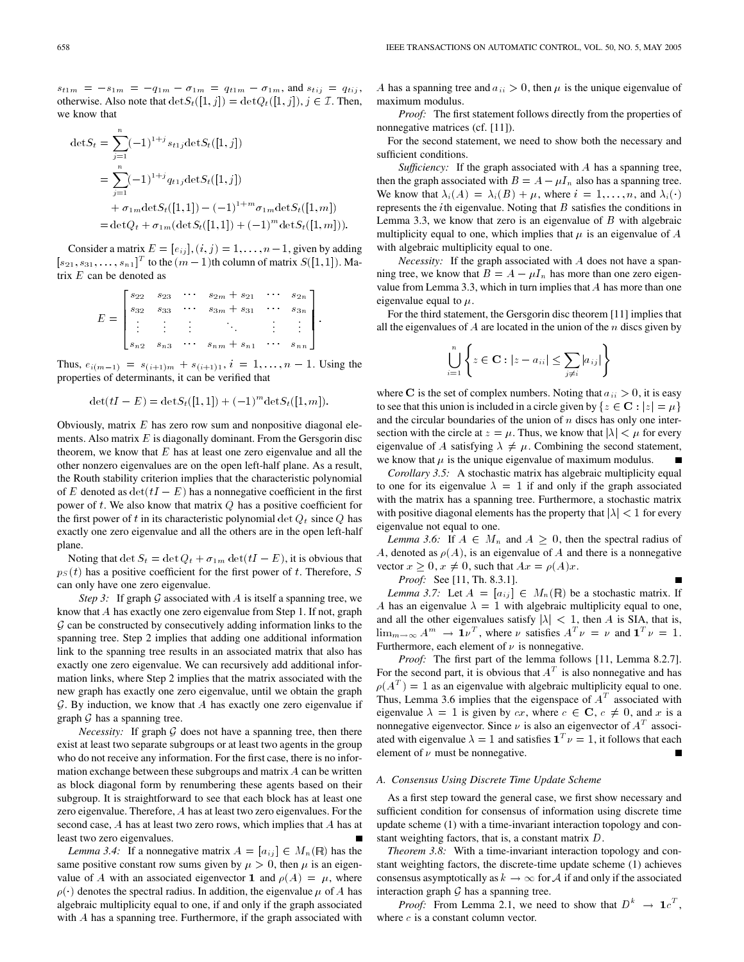$s_{t1m} = -s_{1m} = -q_{1m} - \sigma_{1m} = q_{t1m} - \sigma_{1m}$ , and  $s_{tij} = q_{tij}$ , otherwise. Also note that  $\det S_t([1,j]) = \det Q_t([1,j]), j \in \mathcal{I}$ . Then, we know that

$$
\begin{aligned} \det S_t &= \sum_{j=1}^n (-1)^{1+j} s_{t1j} \det S_t([1,j]) \\ &= \sum_{j=1}^n (-1)^{1+j} q_{t1j} \det S_t([1,j]) \\ &+ \sigma_{1m} \det S_t([1,1]) - (-1)^{1+m} \sigma_{1m} \det S_t([1,m]) \\ &= \det Q_t + \sigma_{1m} (\det S_t([1,1]) + (-1)^m \det S_t([1,m])). \end{aligned}
$$

Consider a matrix  $E = [e_{ij}], (i, j) = 1, \dots, n-1$ , given by adding  $[s_{21}, s_{31}, \ldots, s_{n1}]^T$  to the  $(m-1)$ th column of matrix  $S([1, 1])$ . Matrix  $E$  can be denoted as

|  | $s_{n2}$ $s_{n3}$ | ٠ | $\cdots$ $s_{nm} + s_{n1}$ $\cdots$                              |     |  |
|--|-------------------|---|------------------------------------------------------------------|-----|--|
|  |                   |   |                                                                  |     |  |
|  | $s_{32}$          |   | $s_{33}$ $\cdots$ $s_{3m}$ + $s_{31}$                            | S3n |  |
|  |                   |   | $s_{22}$ $s_{23}$ $\cdots$ $s_{2m}$ $+ s_{21}$ $\cdots$ $s_{2n}$ |     |  |

Thus,  $e_{i(m-1)} = s_{(i+1)m} + s_{(i+1)1}$ ,  $i = 1, ..., n - 1$ . Using the properties of determinants, it can be verified that

$$
\det(tI - E) = \det S_t([1,1]) + (-1)^m \det S_t([1,m]).
$$

Obviously, matrix  $E$  has zero row sum and nonpositive diagonal elements. Also matrix  $E$  is diagonally dominant. From the Gersgorin disc theorem, we know that  $E$  has at least one zero eigenvalue and all the other nonzero eigenvalues are on the open left-half plane. As a result, the Routh stability criterion implies that the characteristic polynomial of E denoted as  $\det(tI - E)$  has a nonnegative coefficient in the first power of t. We also know that matrix  $Q$  has a positive coefficient for the first power of t in its characteristic polynomial det  $Q_t$  since  $Q$  has exactly one zero eigenvalue and all the others are in the open left-half plane.

Noting that det  $S_t = \det Q_t + \sigma_{1m} \det(tI - E)$ , it is obvious that  $p_S(t)$  has a positive coefficient for the first power of t. Therefore, S can only have one zero eigenvalue.

*Step 3:* If graph  $G$  associated with  $A$  is itself a spanning tree, we know that A has exactly one zero eigenvalue from Step 1. If not, graph  $G$  can be constructed by consecutively adding information links to the spanning tree. Step 2 implies that adding one additional information link to the spanning tree results in an associated matrix that also has exactly one zero eigenvalue. We can recursively add additional information links, where Step 2 implies that the matrix associated with the new graph has exactly one zero eigenvalue, until we obtain the graph  $G.$  By induction, we know that A has exactly one zero eigenvalue if graph  $G$  has a spanning tree.

*Necessity:* If graph  $G$  does not have a spanning tree, then there exist at least two separate subgroups or at least two agents in the group who do not receive any information. For the first case, there is no information exchange between these subgroups and matrix A can be written as block diagonal form by renumbering these agents based on their subgroup. It is straightforward to see that each block has at least one zero eigenvalue. Therefore, A has at least two zero eigenvalues. For the second case, A has at least two zero rows, which implies that A has at least two zero eigenvalues.

*Lemma 3.4:* If a nonnegative matrix  $A = [a_{ij}] \in M_n(\mathbb{R})$  has the same positive constant row sums given by  $\mu > 0$ , then  $\mu$  is an eigenvalue of A with an associated eigenvector 1 and  $\rho(A) = \mu$ , where  $\rho(\cdot)$  denotes the spectral radius. In addition, the eigenvalue  $\mu$  of A has algebraic multiplicity equal to one, if and only if the graph associated with A has a spanning tree. Furthermore, if the graph associated with

A has a spanning tree and  $a_{ii} > 0$ , then  $\mu$  is the unique eigenvalue of maximum modulus.

*Proof:* The first statement follows directly from the properties of nonnegative matrices (cf. [11]).

For the second statement, we need to show both the necessary and sufficient conditions.

*Sufficiency:* If the graph associated with A has a spanning tree, then the graph associated with  $B = A - \mu I_n$  also has a spanning tree. We know that  $\lambda_i(A) = \lambda_i(B) + \mu$ , where  $i = 1, \dots, n$ , and  $\lambda_i(\cdot)$ represents the *i*th eigenvalue. Noting that  $B$  satisfies the conditions in Lemma 3.3, we know that zero is an eigenvalue of  $B$  with algebraic multiplicity equal to one, which implies that  $\mu$  is an eigenvalue of A with algebraic multiplicity equal to one.

*Necessity:* If the graph associated with A does not have a spanning tree, we know that  $B = A - \mu I_n$  has more than one zero eigenvalue from Lemma 3.3, which in turn implies that A has more than one eigenvalue equal to  $\mu$ .

For the third statement, the Gersgorin disc theorem [11] implies that all the eigenvalues of  $A$  are located in the union of the  $n$  discs given by

$$
\bigcup_{i=1}^{n} \left\{ z \in \mathbf{C} : |z - a_{ii}| \le \sum_{j \ne i} |a_{ij}| \right\}
$$

where C is the set of complex numbers. Noting that  $a_{ii} > 0$ , it is easy to see that this union is included in a circle given by  $\{z \in \mathbf{C} : |z| = \mu\}$ and the circular boundaries of the union of  $n$  discs has only one intersection with the circle at  $z = \mu$ . Thus, we know that  $|\lambda| < \mu$  for every eigenvalue of A satisfying  $\lambda \neq \mu$ . Combining the second statement, we know that  $\mu$  is the unique eigenvalue of maximum modulus. П

*Corollary 3.5:* A stochastic matrix has algebraic multiplicity equal to one for its eigenvalue  $\lambda = 1$  if and only if the graph associated with the matrix has a spanning tree. Furthermore, a stochastic matrix with positive diagonal elements has the property that  $|\lambda| < 1$  for every eigenvalue not equal to one.

*Lemma 3.6:* If  $A \in M_n$  and  $A \geq 0$ , then the spectral radius of A, denoted as  $\rho(A)$ , is an eigenvalue of A and there is a nonnegative vector  $x \geq 0$ ,  $x \neq 0$ , such that  $Ax = \rho(A)x$ .

*Proof:* See [11, Th. 8.3.1].

*Lemma 3.7:* Let  $A = [a_{ij}] \in M_n(\mathbb{R})$  be a stochastic matrix. If A has an eigenvalue  $\lambda = 1$  with algebraic multiplicity equal to one, and all the other eigenvalues satisfy  $|\lambda| < 1$ , then A is SIA, that is,  $\lim_{m \to \infty} A^m \to 1\nu^T$ , where  $\nu$  satisfies  $A^T \nu = \nu$  and  $1^T \nu = 1$ . Furthermore, each element of  $\nu$  is nonnegative.

*Proof:* The first part of the lemma follows [11, Lemma 8.2.7]. For the second part, it is obvious that  $A<sup>T</sup>$  is also nonnegative and has  $\rho(A^T) = 1$  as an eigenvalue with algebraic multiplicity equal to one. Thus, Lemma 3.6 implies that the eigenspace of  $A<sup>T</sup>$  associated with eigenvalue  $\lambda = 1$  is given by cx, where  $c \in \mathbb{C}$ ,  $c \neq 0$ , and x is a nonnegative eigenvector. Since  $\nu$  is also an eigenvector of  $A<sup>T</sup>$  associated with eigenvalue  $\lambda = 1$  and satisfies  $\mathbf{1}^T \nu = 1$ , it follows that each element of  $\nu$  must be nonnegative.

## *A. Consensus Using Discrete Time Update Scheme*

As a first step toward the general case, we first show necessary and sufficient condition for consensus of information using discrete time update scheme (1) with a time-invariant interaction topology and constant weighting factors, that is, a constant matrix D.

*Theorem 3.8:* With a time-invariant interaction topology and constant weighting factors, the discrete-time update scheme (1) achieves consensus asymptotically as  $k \to \infty$  for A if and only if the associated interaction graph  $G$  has a spanning tree.

*Proof:* From Lemma 2.1, we need to show that  $D^k \rightarrow 1c^T$ , where  $c$  is a constant column vector.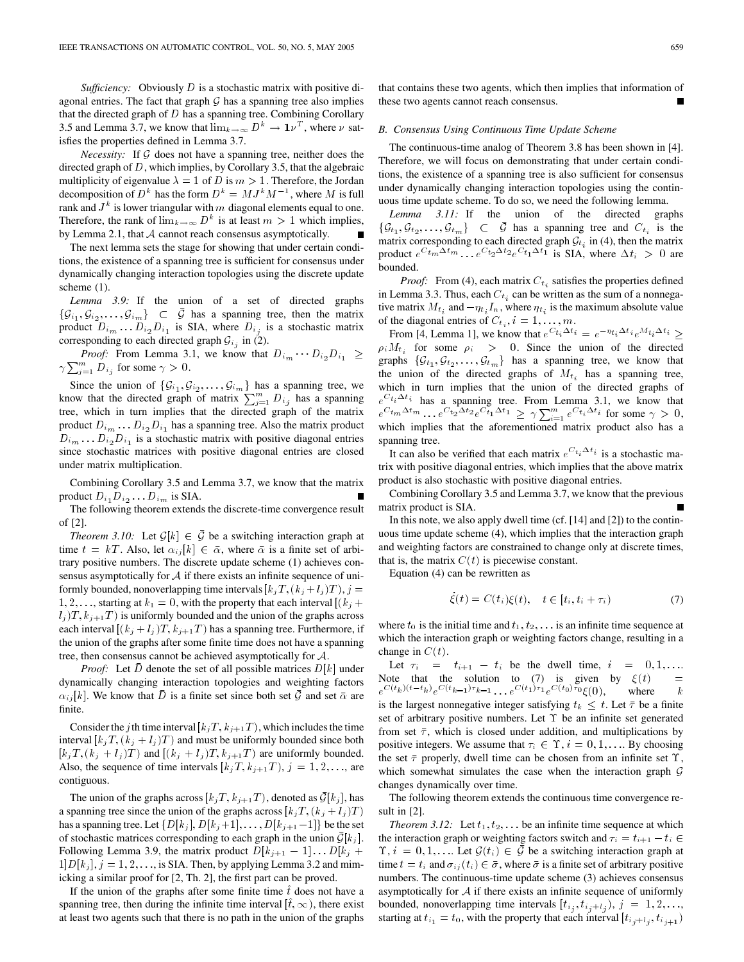*Sufficiency:* Obviously D is a stochastic matrix with positive diagonal entries. The fact that graph  $G$  has a spanning tree also implies that the directed graph of  $D$  has a spanning tree. Combining Corollary 3.5 and Lemma 3.7, we know that  $\lim_{k\to\infty} D^k \to 1\nu^T$ , where  $\nu$  satisfies the properties defined in Lemma 3.7.

*Necessity:* If  $G$  does not have a spanning tree, neither does the directed graph of  $D$ , which implies, by Corollary 3.5, that the algebraic multiplicity of eigenvalue  $\lambda = 1$  of D is  $m > 1$ . Therefore, the Jordan decomposition of  $D^k$  has the form  $D^k = MJ^kM^{-1}$ , where M is full rank and  $J^k$  is lower triangular with m diagonal elements equal to one. Therefore, the rank of  $\lim_{k\to\infty} D^k$  is at least  $m > 1$  which implies, by Lemma 2.1, that  $A$  cannot reach consensus asymptotically.

The next lemma sets the stage for showing that under certain conditions, the existence of a spanning tree is sufficient for consensus under dynamically changing interaction topologies using the discrete update scheme (1).

*Lemma 3.9:* If the union of a set of directed graphs  $\{\mathcal{G}_{i_1}, \mathcal{G}_{i_2}, \ldots, \mathcal{G}_{i_m}\}\subset \bar{\mathcal{G}}$  has a spanning tree, then the matrix product  $D_{i_m} \dots D_{i_2} D_{i_1}$  is SIA, where  $D_{i_j}$  is a stochastic matrix corresponding to each directed graph  $\mathcal{G}_{i_j}$  in (2).

*Proof:* From Lemma 3.1, we know that  $D_{i_m} \cdots D_{i_2} D_{i_1} \geq$  $\gamma \sum_{j=1}^{m} D_{i_j}$  for some  $\gamma > 0$ .

Since the union of  $\{\mathcal{G}_{i_1}, \mathcal{G}_{i_2}, \ldots, \mathcal{G}_{i_m}\}\$  has a spanning tree, we know that the directed graph of matrix  $\sum_{j=1}^{m} D_{i_j}$  has a spanning tree, which in turn implies that the directed graph of the matrix product  $D_{i_m} \dots D_{i_2} D_{i_1}$  has a spanning tree. Also the matrix product  $D_{i_m} \dots D_{i_2} D_{i_1}$  is a stochastic matrix with positive diagonal entries since stochastic matrices with positive diagonal entries are closed under matrix multiplication.

Combining Corollary 3.5 and Lemma 3.7, we know that the matrix product  $D_{i_1} D_{i_2} \ldots D_{i_m}$  is SIA.

The following theorem extends the discrete-time convergence result of [2].

*Theorem 3.10:* Let  $\mathcal{G}[k] \in \overline{\mathcal{G}}$  be a switching interaction graph at time  $t = kT$ . Also, let  $\alpha_{ij} [k] \in \bar{\alpha}$ , where  $\bar{\alpha}$  is a finite set of arbitrary positive numbers. The discrete update scheme (1) achieves consensus asymptotically for  $A$  if there exists an infinite sequence of uniformly bounded, nonoverlapping time intervals  $[k_jT, (k_j + l_j)T), j =$ 1, 2, ..., starting at  $k_1 = 0$ , with the property that each interval  $[(k_i +$  $l_i$ )T,  $k_{i+1}$ T) is uniformly bounded and the union of the graphs across each interval  $[(k_j + l_j)T, k_{j+1}T)$  has a spanning tree. Furthermore, if the union of the graphs after some finite time does not have a spanning tree, then consensus cannot be achieved asymptotically for A.

*Proof:* Let D denote the set of all possible matrices  $D[k]$  under dynamically changing interaction topologies and weighting factors  $\alpha_{ij}[k]$ . We know that  $\bar{D}$  is a finite set since both set  $\bar{\mathcal{G}}$  and set  $\bar{\alpha}$  are finite.

Consider the j th time interval  $[k_jT, k_{j+1}T)$ , which includes the time interval  $[k_i]$ ;  $(k_i + l_j)$  and must be uniformly bounded since both  $[k_i T, (k_i + l_j)T)$  and  $[(k_i + l_j)T, k_{i+1}T)$  are uniformly bounded. Also, the sequence of time intervals  $[k_jT, k_{j+1}T), j = 1, 2, \ldots$ , are contiguous.

The union of the graphs across  $[k_iT, k_{i+1}T]$ , denoted as  $\overline{\mathcal{G}}[k_i]$ , has a spanning tree since the union of the graphs across  $[k_jT, (k_j + l_j)T]$ has a spanning tree. Let  $\{D[k_j], D[k_j+1], \ldots, D[k_{j+1}-1]\}$  be the set of stochastic matrices corresponding to each graph in the union  $\mathcal{G}[k_j]$ . Following Lemma 3.9, the matrix product  $D[k_{j+1} - 1] \dots D[k_j + 1]$  $1|D[k_i]$ ,  $j = 1, 2, \ldots$ , is SIA. Then, by applying Lemma 3.2 and mimicking a similar proof for [2, Th. 2], the first part can be proved.

If the union of the graphs after some finite time  $\hat{t}$  does not have a spanning tree, then during the infinite time interval  $[\hat{t}, \infty)$ , there exist at least two agents such that there is no path in the union of the graphs

that contains these two agents, which then implies that information of these two agents cannot reach consensus.

#### *B. Consensus Using Continuous Time Update Scheme*

The continuous-time analog of Theorem 3.8 has been shown in [4]. Therefore, we will focus on demonstrating that under certain conditions, the existence of a spanning tree is also sufficient for consensus under dynamically changing interaction topologies using the continuous time update scheme. To do so, we need the following lemma.

*Lemma 3.11:* If the union of the directed graphs  $\{\mathcal{G}_{t_1}, \mathcal{G}_{t_2}, \ldots, \mathcal{G}_{t_m}\} \subset \bar{\mathcal{G}}$  has a spanning tree and  $C_{t_i}$  is the matrix corresponding to each directed graph  $\mathcal{G}_{t_i}$  in (4), then the matrix product  $e^{C_{t_m}\Delta t_m}$ ...  $e^{C_{t_2}\Delta t_2}e^{C_{t_1}\Delta t_1}$  is SIA, where  $\Delta t_i > 0$  are bounded.

*Proof:* From (4), each matrix  $C_{t_i}$  satisfies the properties defined in Lemma 3.3. Thus, each  $C_{t_i}$  can be written as the sum of a nonnegative matrix  $M_{t_i}$  and  $-\eta_{t_i} I_n$ , where  $\eta_{t_i}$  is the maximum absolute value of the diagonal entries of  $C_{t_i}$ ,  $i = 1, \ldots, m$ .

From [4, Lemma 1], we know that  $e^{C t_i \Delta t_i} = e^{-\eta t_i \Delta t_i} e^{M t_i \Delta t_i} \ge$  $\rho_i M_{t_i}$  for some  $\rho_i > 0$ . Since the union of the directed graphs  $\{\mathcal{G}_{t_1}, \mathcal{G}_{t_2}, \ldots, \mathcal{G}_{t_m}\}$  has a spanning tree, we know that the union of the directed graphs of  $M_{t_i}$  has a spanning tree, which in turn implies that the union of the directed graphs of  $e^{C t_i \Delta t_i}$  has a spanning tree. From Lemma 3.1, we know that  $e^{C t_m \Delta t_m} \dots e^{C t_2 \Delta t_2} e^{C t_1 \Delta t_1} \ge \gamma \sum_{i=1}^m e^{C t_i \Delta t_i}$  for some  $\gamma > 0$ , which implies that the aforementioned matrix product also has a spanning tree.

It can also be verified that each matrix  $e^{C_{t_i} \Delta t_i}$  is a stochastic matrix with positive diagonal entries, which implies that the above matrix product is also stochastic with positive diagonal entries.

Combining Corollary 3.5 and Lemma 3.7, we know that the previous matrix product is SIA.

In this note, we also apply dwell time (cf. [14] and [2]) to the continuous time update scheme (4), which implies that the interaction graph and weighting factors are constrained to change only at discrete times, that is, the matrix  $C(t)$  is piecewise constant.

Equation (4) can be rewritten as

$$
\dot{\xi}(t) = C(t_i)\xi(t), \quad t \in [t_i, t_i + \tau_i)
$$
\n
$$
(7)
$$

where  $t_0$  is the initial time and  $t_1, t_2, \ldots$  is an infinite time sequence at which the interaction graph or weighting factors change, resulting in a change in  $C(t)$ .

Let  $\tau_i = t_{i+1} - t_i$  be the dwell time,  $i = 0, 1, \ldots$ Note that the solution to (7) is given by  $\xi(t)$  $e^{C(t_k)(t-t_k)}e^{C(t_{k-1})\tau_{k-1}} \dots e^{C(t_1)\tau_1}e^{C(t_0)\tau_0}\xi(0),$  where k is the largest nonnegative integer satisfying  $t_k \leq t$ . Let  $\bar{\tau}$  be a finite set of arbitrary positive numbers. Let  $\Upsilon$  be an infinite set generated from set  $\bar{\tau}$ , which is closed under addition, and multiplications by positive integers. We assume that  $\tau_i \in \Upsilon$ ,  $i = 0, 1, \dots$  By choosing the set  $\bar{\tau}$  properly, dwell time can be chosen from an infinite set  $\Upsilon$ , which somewhat simulates the case when the interaction graph  $G$ changes dynamically over time.

The following theorem extends the continuous time convergence result in [2].

*Theorem 3.12:* Let  $t_1, t_2, \ldots$  be an infinite time sequence at which the interaction graph or weighting factors switch and  $\tau_i = t_{i+1} - t_i \in$  $\Upsilon$ ,  $i = 0, 1, \ldots$  Let  $\mathcal{G}(t_i) \in \overline{\mathcal{G}}$  be a switching interaction graph at time  $t = t_i$  and  $\sigma_{ij}(t_i) \in \bar{\sigma}$ , where  $\bar{\sigma}$  is a finite set of arbitrary positive numbers. The continuous-time update scheme (3) achieves consensus asymptotically for  $A$  if there exists an infinite sequence of uniformly bounded, nonoverlapping time intervals  $[t_{i_j}, t_{i_j+1_j}), j = 1, 2, \ldots,$ starting at  $t_{i_1} = t_0$ , with the property that each interval  $[t_{i_j+1}, t_{i_{j+1}})$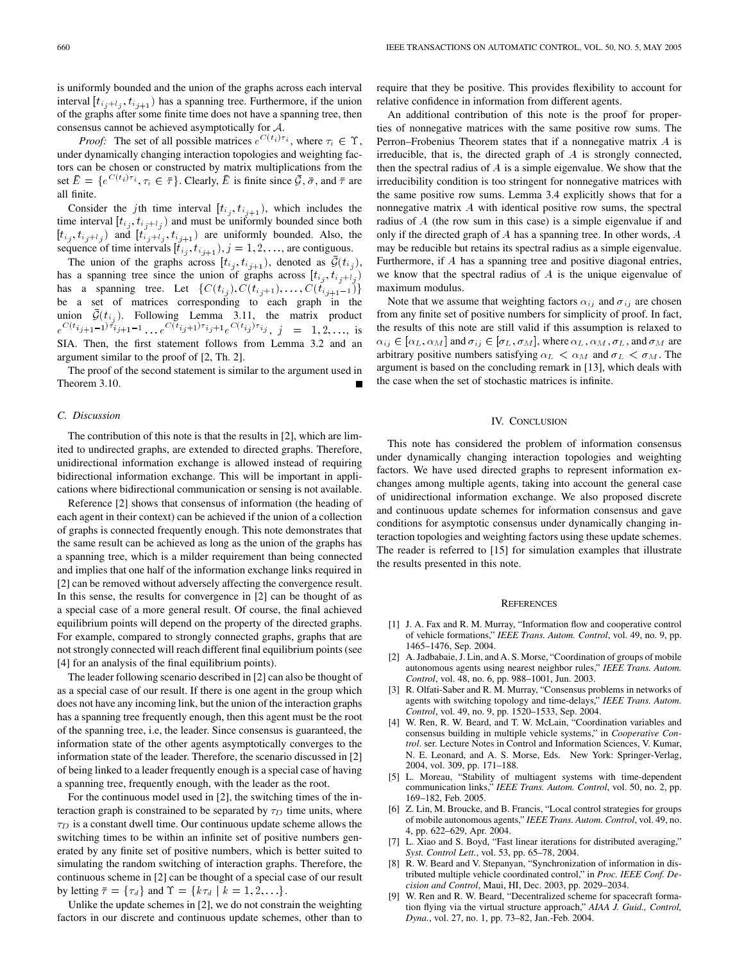is uniformly bounded and the union of the graphs across each interval interval  $[t_{i,j+1}, t_{i,j+1}]$  has a spanning tree. Furthermore, if the union of the graphs after some finite time does not have a spanning tree, then consensus cannot be achieved asymptotically for A.

*Proof:* The set of all possible matrices  $e^{C(t_i)\tau_i}$ , where  $\tau_i \in \Upsilon$ , under dynamically changing interaction topologies and weighting factors can be chosen or constructed by matrix multiplications from the set  $\bar{E} = \{e^{C(t_i)\tau_i}, \tau_i \in \bar{\tau}\}\)$ . Clearly,  $\bar{E}$  is finite since  $\bar{\mathcal{G}}, \bar{\sigma}$ , and  $\bar{\tau}$  are all finite.

Consider the jth time interval  $[t_{i_j}, t_{i_{j+1}})$ , which includes the time interval  $[t_{i_j}, t_{i_j+l_j})$  and must be uniformly bounded since both  $[t_{i_j}, t_{i_j+1_j})$  and  $[t_{i_j+1_j}, t_{i_{j+1}}]$  are uniformly bounded. Also, the sequence of time intervals  $[t_{i_j}, t_{i_{j+1}}), j = 1, 2, \ldots$ , are contiguous.

The union of the graphs across  $[t_{i_j}, t_{i_{j+1}})$ , denoted as  $\mathcal{G}(t_{i_j})$ , has a spanning tree since the union of graphs across  $[t_{i_j}, t_{i_j+l_j})$ The union of the graphs across  $[t_{i_j}, t_{i_{j+1}})$ , denoted as  $\mathcal{G}(t_{i_j})$ , has a spanning tree since the union of graphs across  $[t_{i_j}, t_{i_j+1_j})$  has a spanning tree. Let  $\{C(t_{i_j}), C(t_{i_{j+1}}), \ldots, C(t_{i_{j+1}-1})\}$ be a set of matrices corresponding to each graph in the union  $\bar{\mathcal{G}}(t_{ij})$ . Following Lemma 3.11, the matrix product  $e^{C(t_{i_{j+1}-1})\tau_{i_{j+1}-1}} \dots e^{C(t_{i_{j}+1})\tau_{i_{j}+1}} e^{C(t_{i_{j}})\tau_{i_{j}}}, \quad j = 1, 2, \dots,$  is SIA. Then, the first statement follows from Lemma 3.2 and an argument similar to the proof of [2, Th. 2].

The proof of the second statement is similar to the argument used in Theorem 3.10.

### *C. Discussion*

The contribution of this note is that the results in [2], which are limited to undirected graphs, are extended to directed graphs. Therefore, unidirectional information exchange is allowed instead of requiring bidirectional information exchange. This will be important in applications where bidirectional communication or sensing is not available.

Reference [2] shows that consensus of information (the heading of each agent in their context) can be achieved if the union of a collection of graphs is connected frequently enough. This note demonstrates that the same result can be achieved as long as the union of the graphs has a spanning tree, which is a milder requirement than being connected and implies that one half of the information exchange links required in [2] can be removed without adversely affecting the convergence result. In this sense, the results for convergence in [2] can be thought of as a special case of a more general result. Of course, the final achieved equilibrium points will depend on the property of the directed graphs. For example, compared to strongly connected graphs, graphs that are not strongly connected will reach different final equilibrium points (see [4] for an analysis of the final equilibrium points).

The leader following scenario described in [2] can also be thought of as a special case of our result. If there is one agent in the group which does not have any incoming link, but the union of the interaction graphs has a spanning tree frequently enough, then this agent must be the root of the spanning tree, i.e, the leader. Since consensus is guaranteed, the information state of the other agents asymptotically converges to the information state of the leader. Therefore, the scenario discussed in [2] of being linked to a leader frequently enough is a special case of having a spanning tree, frequently enough, with the leader as the root.

For the continuous model used in [2], the switching times of the interaction graph is constrained to be separated by  $\tau_D$  time units, where  $\tau_D$  is a constant dwell time. Our continuous update scheme allows the switching times to be within an infinite set of positive numbers generated by any finite set of positive numbers, which is better suited to simulating the random switching of interaction graphs. Therefore, the continuous scheme in [2] can be thought of a special case of our result by letting  $\bar{\tau} = {\tau_d}$  and  $\Upsilon = {k\tau_d | k = 1, 2, \ldots}.$ 

Unlike the update schemes in [2], we do not constrain the weighting factors in our discrete and continuous update schemes, other than to

require that they be positive. This provides flexibility to account for relative confidence in information from different agents.

An additional contribution of this note is the proof for properties of nonnegative matrices with the same positive row sums. The Perron–Frobenius Theorem states that if a nonnegative matrix A is irreducible, that is, the directed graph of A is strongly connected, then the spectral radius of  $A$  is a simple eigenvalue. We show that the irreducibility condition is too stringent for nonnegative matrices with the same positive row sums. Lemma 3.4 explicitly shows that for a nonnegative matrix A with identical positive row sums, the spectral radius of A (the row sum in this case) is a simple eigenvalue if and only if the directed graph of A has a spanning tree. In other words, A may be reducible but retains its spectral radius as a simple eigenvalue. Furthermore, if A has a spanning tree and positive diagonal entries, we know that the spectral radius of A is the unique eigenvalue of maximum modulus.

Note that we assume that weighting factors  $\alpha_{ij}$  and  $\sigma_{ij}$  are chosen from any finite set of positive numbers for simplicity of proof. In fact, the results of this note are still valid if this assumption is relaxed to  $\alpha_{ij} \in [\alpha_L, \alpha_M]$  and  $\sigma_{ij} \in [\sigma_L, \sigma_M]$ , where  $\alpha_L, \alpha_M, \sigma_L$ , and  $\sigma_M$  are arbitrary positive numbers satisfying  $\alpha_L < \alpha_M$  and  $\sigma_L < \sigma_M$ . The argument is based on the concluding remark in [13], which deals with the case when the set of stochastic matrices is infinite.

## IV. CONCLUSION

This note has considered the problem of information consensus under dynamically changing interaction topologies and weighting factors. We have used directed graphs to represent information exchanges among multiple agents, taking into account the general case of unidirectional information exchange. We also proposed discrete and continuous update schemes for information consensus and gave conditions for asymptotic consensus under dynamically changing interaction topologies and weighting factors using these update schemes. The reader is referred to [15] for simulation examples that illustrate the results presented in this note.

#### **REFERENCES**

- [1] J. A. Fax and R. M. Murray, "Information flow and cooperative control of vehicle formations," *IEEE Trans. Autom. Control*, vol. 49, no. 9, pp. 1465–1476, Sep. 2004.
- [2] A. Jadbabaie, J. Lin, and A. S. Morse, "Coordination of groups of mobile autonomous agents using nearest neighbor rules," *IEEE Trans. Autom. Control*, vol. 48, no. 6, pp. 988–1001, Jun. 2003.
- [3] R. Olfati-Saber and R. M. Murray, "Consensus problems in networks of agents with switching topology and time-delays," *IEEE Trans. Autom. Control*, vol. 49, no. 9, pp. 1520–1533, Sep. 2004.
- [4] W. Ren, R. W. Beard, and T. W. McLain, "Coordination variables and consensus building in multiple vehicle systems," in *Cooperative Control*. ser. Lecture Notes in Control and Information Sciences, V. Kumar, N. E. Leonard, and A. S. Morse, Eds. New York: Springer-Verlag, 2004, vol. 309, pp. 171–188.
- [5] L. Moreau, "Stability of multiagent systems with time-dependent communication links," *IEEE Trans. Autom. Control*, vol. 50, no. 2, pp. 169–182, Feb. 2005.
- [6] Z. Lin, M. Broucke, and B. Francis, "Local control strategies for groups of mobile autonomous agents," *IEEE Trans. Autom. Control*, vol. 49, no. 4, pp. 622–629, Apr. 2004.
- [7] L. Xiao and S. Boyd, "Fast linear iterations for distributed averaging," *Syst. Control Lett.*, vol. 53, pp. 65–78, 2004.
- R. W. Beard and V. Stepanyan, "Synchronization of information in distributed multiple vehicle coordinated control," in *Proc. IEEE Conf. Decision and Control*, Maui, HI, Dec. 2003, pp. 2029–2034.
- [9] W. Ren and R. W. Beard, "Decentralized scheme for spacecraft formation flying via the virtual structure approach," *AIAA J. Guid., Control, Dyna.*, vol. 27, no. 1, pp. 73–82, Jan.-Feb. 2004.